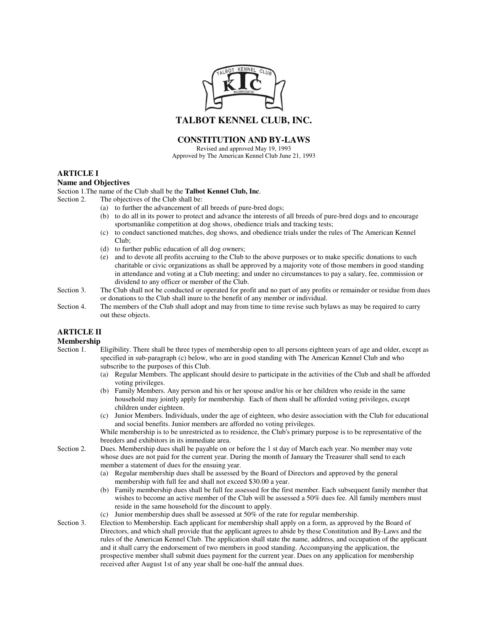

**TALBOT KENNEL CLUB, INC.**

## **CONSTITUTION AND BY-LAWS**

Revised and approved May 19, 1993 Approved by The American Kennel Club June 21, 1993

### **ARTICLE I**

#### **Name and Objectives**

Section 1.The name of the Club shall be the **Talbot Kennel Club, Inc**.

Section 2. The objectives of the Club shall be:

- (a) to further the advancement of all breeds of pure-bred dogs;
- (b) to do all in its power to protect and advance the interests of all breeds of pure-bred dogs and to encourage sportsmanlike competition at dog shows, obedience trials and tracking tests;
- (c) to conduct sanctioned matches, dog shows, and obedience trials under the rules of The American Kennel Club;
- (d) to further public education of all dog owners;
- (e) and to devote all profits accruing to the Club to the above purposes or to make specific donations to such charitable or civic organizations as shall be approved by a majority vote of those members in good standing in attendance and voting at a Club meeting; and under no circumstances to pay a salary, fee, commission or dividend to any officer or member of the Club.
- Section 3. The Club shall not be conducted or operated for profit and no part of any profits or remainder or residue from dues or donations to the Club shall inure to the benefit of any member or individual.
- Section 4. The members of the Club shall adopt and may from time to time revise such bylaws as may be required to carry out these objects.

### **ARTICLE II**

# **Membership**<br>Section 1.

- Eligibility. There shall be three types of membership open to all persons eighteen years of age and older, except as specified in sub-paragraph (c) below, who are in good standing with The American Kennel Club and who subscribe to the purposes of this Club.
	- (a) Regular Members. The applicant should desire to participate in the activities of the Club and shall be afforded voting privileges.
	- (b) Family Members. Any person and his or her spouse and/or his or her children who reside in the same household may jointly apply for membership. Each of them shall be afforded voting privileges, except children under eighteen.
	- (c) Junior Members. Individuals, under the age of eighteen, who desire association with the Club for educational and social benefits. Junior members are afforded no voting privileges.

While membership is to be unrestricted as to residence, the Club's primary purpose is to be representative of the breeders and exhibitors in its immediate area.

- Section 2. Dues. Membership dues shall be payable on or before the 1 st day of March each year. No member may vote whose dues are not paid for the current year. During the month of January the Treasurer shall send to each member a statement of dues for the ensuing year.
	- (a) Regular membership dues shall be assessed by the Board of Directors and approved by the general membership with full fee and shall not exceed \$30.00 a year.
	- (b) Family membership dues shall be full fee assessed for the first member. Each subsequent family member that wishes to become an active member of the Club will be assessed a 50% dues fee. All family members must reside in the same household for the discount to apply.
	- (c) Junior membership dues shall be assessed at 50% of the rate for regular membership.
- Section 3. Election to Membership. Each applicant for membership shall apply on a form, as approved by the Board of Directors, and which shall provide that the applicant agrees to abide by these Constitution and By-Laws and the rules of the American Kennel Club. The application shall state the name, address, and occupation of the applicant and it shall carry the endorsement of two members in good standing. Accompanying the application, the prospective member shall submit dues payment for the current year. Dues on any application for membership received after August 1st of any year shall be one-half the annual dues.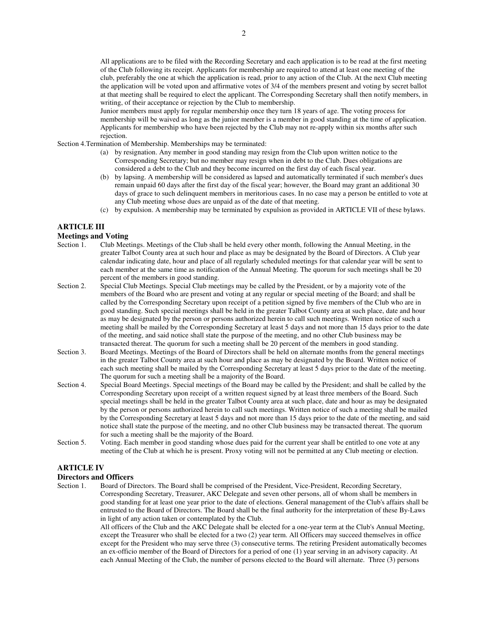All applications are to be filed with the Recording Secretary and each application is to be read at the first meeting of the Club following its receipt. Applicants for membership are required to attend at least one meeting of the club, preferably the one at which the application is read, prior to any action of the Club. At the next Club meeting the application will be voted upon and affirmative votes of 3/4 of the members present and voting by secret ballot at that meeting shall be required to elect the applicant. The Corresponding Secretary shall then notify members, in writing, of their acceptance or rejection by the Club to membership.

Junior members must apply for regular membership once they turn 18 years of age. The voting process for membership will be waived as long as the junior member is a member in good standing at the time of application. Applicants for membership who have been rejected by the Club may not re-apply within six months after such rejection.

Section 4.Termination of Membership. Memberships may be terminated:

- (a) by resignation. Any member in good standing may resign from the Club upon written notice to the Corresponding Secretary; but no member may resign when in debt to the Club. Dues obligations are considered a debt to the Club and they become incurred on the first day of each fiscal year.
- (b) by lapsing. A membership will be considered as lapsed and automatically terminated if such member's dues remain unpaid 60 days after the first day of the fiscal year; however, the Board may grant an additional 30 days of grace to such delinquent members in meritorious cases. In no case may a person be entitled to vote at any Club meeting whose dues are unpaid as of the date of that meeting.
- (c) by expulsion. A membership may be terminated by expulsion as provided in ARTICLE VII of these bylaws.

#### **ARTICLE III**

# **Meetings and Voting**

- Club Meetings. Meetings of the Club shall be held every other month, following the Annual Meeting, in the greater Talbot County area at such hour and place as may be designated by the Board of Directors. A Club year calendar indicating date, hour and place of all regularly scheduled meetings for that calendar year will be sent to each member at the same time as notification of the Annual Meeting. The quorum for such meetings shall be 20 percent of the members in good standing.
- Section 2. Special Club Meetings. Special Club meetings may be called by the President, or by a majority vote of the members of the Board who are present and voting at any regular or special meeting of the Board; and shall be called by the Corresponding Secretary upon receipt of a petition signed by five members of the Club who are in good standing. Such special meetings shall be held in the greater Talbot County area at such place, date and hour as may be designated by the person or persons authorized herein to call such meetings. Written notice of such a meeting shall be mailed by the Corresponding Secretary at least 5 days and not more than 15 days prior to the date of the meeting, and said notice shall state the purpose of the meeting, and no other Club business may be transacted thereat. The quorum for such a meeting shall be 20 percent of the members in good standing.
- Section 3. Board Meetings. Meetings of the Board of Directors shall be held on alternate months from the general meetings in the greater Talbot County area at such hour and place as may be designated by the Board. Written notice of each such meeting shall be mailed by the Corresponding Secretary at least 5 days prior to the date of the meeting. The quorum for such a meeting shall be a majority of the Board.
- Section 4. Special Board Meetings. Special meetings of the Board may be called by the President; and shall be called by the Corresponding Secretary upon receipt of a written request signed by at least three members of the Board. Such special meetings shall be held in the greater Talbot County area at such place, date and hour as may be designated by the person or persons authorized herein to call such meetings. Written notice of such a meeting shall be mailed by the Corresponding Secretary at least 5 days and not more than 15 days prior to the date of the meeting, and said notice shall state the purpose of the meeting, and no other Club business may be transacted thereat. The quorum for such a meeting shall be the majority of the Board.
- Section 5. Voting. Each member in good standing whose dues paid for the current year shall be entitled to one vote at any meeting of the Club at which he is present. Proxy voting will not be permitted at any Club meeting or election.

### **ARTICLE IV**

# **Directors and Officers**

Board of Directors. The Board shall be comprised of the President, Vice-President, Recording Secretary, Corresponding Secretary, Treasurer, AKC Delegate and seven other persons, all of whom shall be members in good standing for at least one year prior to the date of elections. General management of the Club's affairs shall be entrusted to the Board of Directors. The Board shall be the final authority for the interpretation of these By-Laws in light of any action taken or contemplated by the Club.

> All officers of the Club and the AKC Delegate shall be elected for a one-year term at the Club's Annual Meeting, except the Treasurer who shall be elected for a two (2) year term. All Officers may succeed themselves in office except for the President who may serve three (3) consecutive terms. The retiring President automatically becomes an ex-officio member of the Board of Directors for a period of one (1) year serving in an advisory capacity. At each Annual Meeting of the Club, the number of persons elected to the Board will alternate. Three (3) persons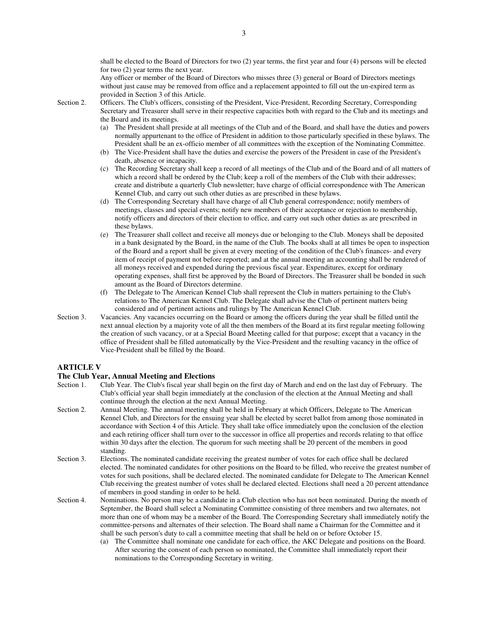shall be elected to the Board of Directors for two (2) year terms, the first year and four (4) persons will be elected for two (2) year terms the next year.

Any officer or member of the Board of Directors who misses three (3) general or Board of Directors meetings without just cause may be removed from office and a replacement appointed to fill out the un-expired term as provided in Section 3 of this Article.

- Section 2. Officers. The Club's officers, consisting of the President, Vice-President, Recording Secretary, Corresponding Secretary and Treasurer shall serve in their respective capacities both with regard to the Club and its meetings and the Board and its meetings.
	- (a) The President shall preside at all meetings of the Club and of the Board, and shall have the duties and powers normally appurtenant to the office of President in addition to those particularly specified in these bylaws. The President shall be an ex-officio member of all committees with the exception of the Nominating Committee.
	- (b) The Vice-President shall have the duties and exercise the powers of the President in case of the President's death, absence or incapacity.
	- (c) The Recording Secretary shall keep a record of all meetings of the Club and of the Board and of all matters of which a record shall be ordered by the Club; keep a roll of the members of the Club with their addresses; create and distribute a quarterly Club newsletter; have charge of official correspondence with The American Kennel Club, and carry out such other duties as are prescribed in these bylaws.
	- (d) The Corresponding Secretary shall have charge of all Club general correspondence; notify members of meetings, classes and special events; notify new members of their acceptance or rejection to membership, notify officers and directors of their election to office, and carry out such other duties as are prescribed in these bylaws.
	- (e) The Treasurer shall collect and receive all moneys due or belonging to the Club. Moneys shall be deposited in a bank designated by the Board, in the name of the Club. The books shall at all times be open to inspection of the Board and a report shall be given at every meeting of the condition of the Club's finances- and every item of receipt of payment not before reported; and at the annual meeting an accounting shall be rendered of all moneys received and expended during the previous fiscal year. Expenditures, except for ordinary operating expenses, shall first be approved by the Board of Directors. The Treasurer shall be bonded in such amount as the Board of Directors determine.
	- (f) The Delegate to The American Kennel Club shall represent the Club in matters pertaining to the Club's relations to The American Kennel Club. The Delegate shall advise the Club of pertinent matters being considered and of pertinent actions and rulings by The American Kennel Club.
- Section 3. Vacancies. Any vacancies occurring on the Board or among the officers during the year shall be filled until the next annual election by a majority vote of all the then members of the Board at its first regular meeting following the creation of such vacancy, or at a Special Board Meeting called for that purpose; except that a vacancy in the office of President shall be filled automatically by the Vice-President and the resulting vacancy in the office of Vice-President shall be filled by the Board.

#### **ARTICLE V**

# **The Club Year, Annual Meeting and Elections**

- Club Year. The Club's fiscal year shall begin on the first day of March and end on the last day of February. The Club's official year shall begin immediately at the conclusion of the election at the Annual Meeting and shall continue through the election at the next Annual Meeting.
- Section 2. Annual Meeting. The annual meeting shall be held in February at which Officers, Delegate to The American Kennel Club, and Directors for the ensuing year shall be elected by secret ballot from among those nominated in accordance with Section 4 of this Article. They shall take office immediately upon the conclusion of the election and each retiring officer shall turn over to the successor in office all properties and records relating to that office within 30 days after the election. The quorum for such meeting shall be 20 percent of the members in good standing.
- Section 3. Elections. The nominated candidate receiving the greatest number of votes for each office shall be declared elected. The nominated candidates for other positions on the Board to be filled, who receive the greatest number of votes for such positions, shall be declared elected. The nominated candidate for Delegate to The American Kennel Club receiving the greatest number of votes shall be declared elected. Elections shall need a 20 percent attendance of members in good standing in order to be held.
- Section 4. Nominations. No person may be a candidate in a Club election who has not been nominated. During the month of September, the Board shall select a Nominating Committee consisting of three members and two alternates, not more than one of whom may be a member of the Board. The Corresponding Secretary shall immediately notify the committee-persons and alternates of their selection. The Board shall name a Chairman for the Committee and it shall be such person's duty to call a committee meeting that shall be held on or before October 15.
	- (a) The Committee shall nominate one candidate for each office, the AKC Delegate and positions on the Board. After securing the consent of each person so nominated, the Committee shall immediately report their nominations to the Corresponding Secretary in writing.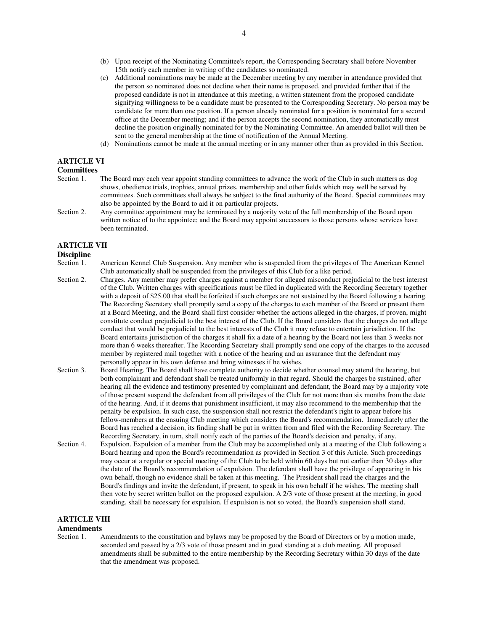- (b) Upon receipt of the Nominating Committee's report, the Corresponding Secretary shall before November 15th notify each member in writing of the candidates so nominated.
- (c) Additional nominations may be made at the December meeting by any member in attendance provided that the person so nominated does not decline when their name is proposed, and provided further that if the proposed candidate is not in attendance at this meeting, a written statement from the proposed candidate signifying willingness to be a candidate must be presented to the Corresponding Secretary. No person may be candidate for more than one position. If a person already nominated for a position is nominated for a second office at the December meeting; and if the person accepts the second nomination, they automatically must decline the position originally nominated for by the Nominating Committee. An amended ballot will then be sent to the general membership at the time of notification of the Annual Meeting.
- (d) Nominations cannot be made at the annual meeting or in any manner other than as provided in this Section.

### **ARTICLE VI**

# **Committees**<br>Section 1.

- The Board may each year appoint standing committees to advance the work of the Club in such matters as dog shows, obedience trials, trophies, annual prizes, membership and other fields which may well be served by committees. Such committees shall always be subject to the final authority of the Board. Special committees may also be appointed by the Board to aid it on particular projects.
- Section 2. Any committee appointment may be terminated by a majority vote of the full membership of the Board upon written notice of to the appointee; and the Board may appoint successors to those persons whose services have been terminated.

### **ARTICLE VII**

# **Discipline**<br>Section 1.

- American Kennel Club Suspension. Any member who is suspended from the privileges of The American Kennel Club automatically shall be suspended from the privileges of this Club for a like period.
- Section 2. Charges. Any member may prefer charges against a member for alleged misconduct prejudicial to the best interest of the Club. Written charges with specifications must be filed in duplicated with the Recording Secretary together with a deposit of \$25.00 that shall be forfeited if such charges are not sustained by the Board following a hearing. The Recording Secretary shall promptly send a copy of the charges to each member of the Board or present them at a Board Meeting, and the Board shall first consider whether the actions alleged in the charges, if proven, might constitute conduct prejudicial to the best interest of the Club. If the Board considers that the charges do not allege conduct that would be prejudicial to the best interests of the Club it may refuse to entertain jurisdiction. If the Board entertains jurisdiction of the charges it shall fix a date of a hearing by the Board not less than 3 weeks nor more than 6 weeks thereafter. The Recording Secretary shall promptly send one copy of the charges to the accused member by registered mail together with a notice of the hearing and an assurance that the defendant may personally appear in his own defense and bring witnesses if he wishes.
- Section 3. Board Hearing. The Board shall have complete authority to decide whether counsel may attend the hearing, but both complainant and defendant shall be treated uniformly in that regard. Should the charges be sustained, after hearing all the evidence and testimony presented by complainant and defendant, the Board may by a majority vote of those present suspend the defendant from all privileges of the Club for not more than six months from the date of the hearing. And, if it deems that punishment insufficient, it may also recommend to the membership that the penalty be expulsion. In such case, the suspension shall not restrict the defendant's right to appear before his fellow-members at the ensuing Club meeting which considers the Board's recommendation. Immediately after the Board has reached a decision, its finding shall be put in written from and filed with the Recording Secretary. The Recording Secretary, in turn, shall notify each of the parties of the Board's decision and penalty, if any.
- Section 4. Expulsion. Expulsion of a member from the Club may be accomplished only at a meeting of the Club following a Board hearing and upon the Board's recommendation as provided in Section 3 of this Article. Such proceedings may occur at a regular or special meeting of the Club to be held within 60 days but not earlier than 30 days after the date of the Board's recommendation of expulsion. The defendant shall have the privilege of appearing in his own behalf, though no evidence shall be taken at this meeting. The President shall read the charges and the Board's findings and invite the defendant, if present, to speak in his own behalf if he wishes. The meeting shall then vote by secret written ballot on the proposed expulsion. A 2/3 vote of those present at the meeting, in good standing, shall be necessary for expulsion. If expulsion is not so voted, the Board's suspension shall stand.

### **ARTICLE VIII**

## **Amendments**<br>Section 1.

Amendments to the constitution and bylaws may be proposed by the Board of Directors or by a motion made, seconded and passed by a 2/3 vote of those present and in good standing at a club meeting. All proposed amendments shall be submitted to the entire membership by the Recording Secretary within 30 days of the date that the amendment was proposed.